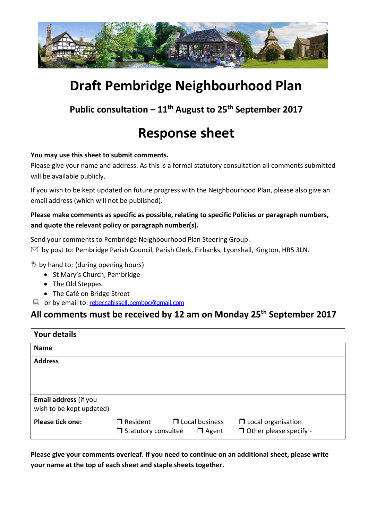

# **Draft Pembridge Neighbourhood Plan**

**Public consultation – 11th August to 25th September 2017**

## **Response sheet**

#### **You may use this sheet to submit comments.**

Please give your name and address. As this is a formal statutory consultation all comments submitted will be available publicly.

If you wish to be kept updated on future progress with the Neighbourhood Plan, please also give an email address (which will not be published).

#### **Please make comments as specific as possible, relating to specific Policies or paragraph numbers, and quote the relevant policy or paragraph number(s).**

Send your comments to Pembridge Neighbourhood Plan Steering Group:

 $\boxtimes$  by post to: Pembridge Parish Council, Parish Clerk, Firbanks, Lyonshall, Kington, HR5 3LN.

 $\mathcal{B}$  by hand to: (during opening hours)

- St Mary's Church, Pembridge
- The Old Steppes
- The Café on Bridge Street
- **E** or by email to: [rebeccabissell.pembpc@gmail.com](mailto:rebeccabissell.pembpc@gmail.com)

## **All comments must be received by 12 am on Monday 25th September 2017**

| <b>Your details</b>                               |                                                                                        |                                                            |
|---------------------------------------------------|----------------------------------------------------------------------------------------|------------------------------------------------------------|
| <b>Name</b>                                       |                                                                                        |                                                            |
| <b>Address</b>                                    |                                                                                        |                                                            |
| Email address (if you<br>wish to be kept updated) |                                                                                        |                                                            |
| <b>Please tick one:</b>                           | $\Box$ Resident<br>$\Box$ Local business<br>$\Box$ Statutory consultee<br>$\Box$ Agent | $\Box$ Local organisation<br>$\Box$ Other please specify - |

**Please give your comments overleaf. If you need to continue on an additional sheet, please write your name at the top of each sheet and staple sheets together.**